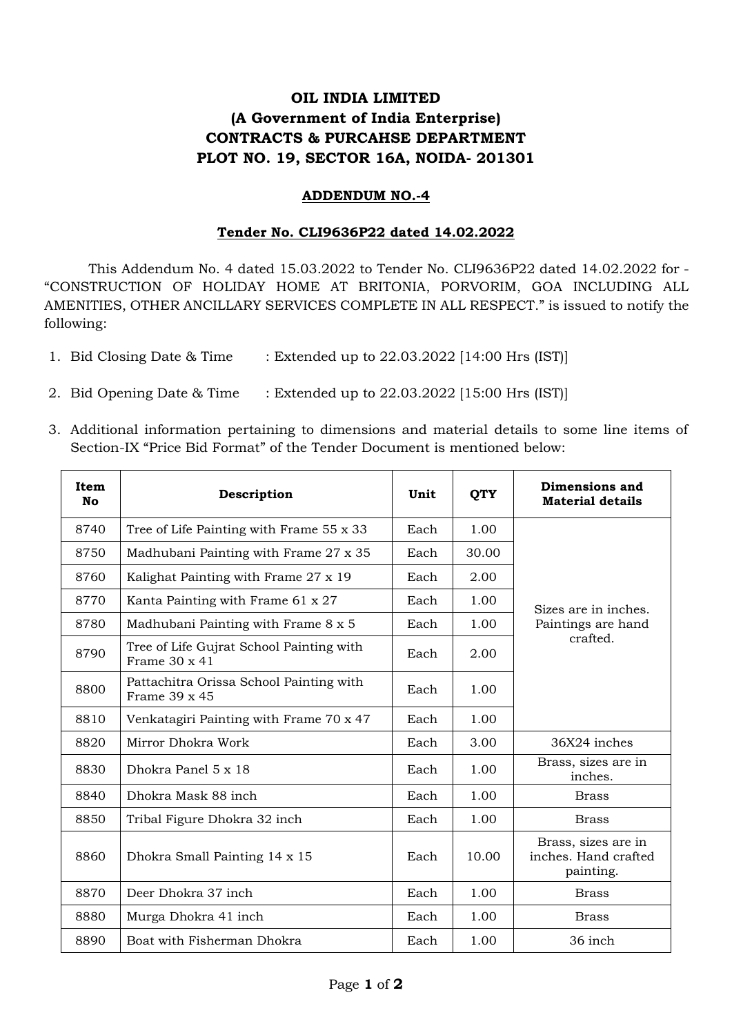## **OIL INDIA LIMITED (A Government of India Enterprise) CONTRACTS & PURCAHSE DEPARTMENT PLOT NO. 19, SECTOR 16A, NOIDA- 201301**

## **ADDENDUM NO.-4**

## **Tender No. CLI9636P22 dated 14.02.2022**

This Addendum No. 4 dated 15.03.2022 to Tender No. CLI9636P22 dated 14.02.2022 for - "CONSTRUCTION OF HOLIDAY HOME AT BRITONIA, PORVORIM, GOA INCLUDING ALL AMENITIES, OTHER ANCILLARY SERVICES COMPLETE IN ALL RESPECT." is issued to notify the following:

- 1. Bid Closing Date & Time : Extended up to 22.03.2022 [14:00 Hrs (IST)]
- 2. Bid Opening Date & Time : Extended up to 22.03.2022 [15:00 Hrs (IST)]
- 3. Additional information pertaining to dimensions and material details to some line items of Section-IX "Price Bid Format" of the Tender Document is mentioned below:

| Item<br>No | Description                                               | Unit | <b>QTY</b> | Dimensions and<br><b>Material details</b>                |
|------------|-----------------------------------------------------------|------|------------|----------------------------------------------------------|
| 8740       | Tree of Life Painting with Frame 55 x 33                  | Each | 1.00       | Sizes are in inches.<br>Paintings are hand<br>crafted.   |
| 8750       | Madhubani Painting with Frame 27 x 35                     | Each | 30.00      |                                                          |
| 8760       | Kalighat Painting with Frame 27 x 19                      | Each | 2.00       |                                                          |
| 8770       | Kanta Painting with Frame 61 x 27                         | Each | 1.00       |                                                          |
| 8780       | Madhubani Painting with Frame 8 x 5                       | Each | 1.00       |                                                          |
| 8790       | Tree of Life Gujrat School Painting with<br>Frame 30 x 41 | Each | 2.00       |                                                          |
| 8800       | Pattachitra Orissa School Painting with<br>Frame 39 x 45  | Each | 1.00       |                                                          |
| 8810       | Venkatagiri Painting with Frame 70 x 47                   | Each | 1.00       |                                                          |
| 8820       | Mirror Dhokra Work                                        | Each | 3.00       | 36X24 inches                                             |
| 8830       | Dhokra Panel 5 x 18                                       | Each | 1.00       | Brass, sizes are in<br>inches.                           |
| 8840       | Dhokra Mask 88 inch                                       | Each | 1.00       | <b>Brass</b>                                             |
| 8850       | Tribal Figure Dhokra 32 inch                              | Each | 1.00       | <b>Brass</b>                                             |
| 8860       | Dhokra Small Painting 14 x 15                             | Each | 10.00      | Brass, sizes are in<br>inches. Hand crafted<br>painting. |
| 8870       | Deer Dhokra 37 inch                                       | Each | 1.00       | <b>Brass</b>                                             |
| 8880       | Murga Dhokra 41 inch                                      | Each | 1.00       | <b>Brass</b>                                             |
| 8890       | Boat with Fisherman Dhokra                                | Each | 1.00       | 36 inch                                                  |